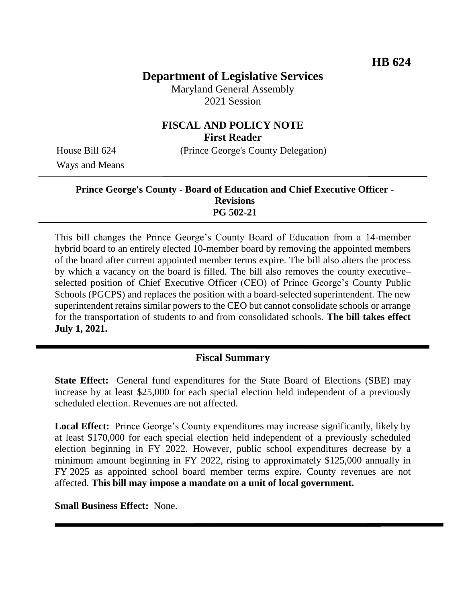# **Department of Legislative Services**

Maryland General Assembly 2021 Session

# **FISCAL AND POLICY NOTE First Reader**

House Bill 624 (Prince George's County Delegation)

Ways and Means

#### **Prince George's County - Board of Education and Chief Executive Officer - Revisions PG 502-21**

This bill changes the Prince George's County Board of Education from a 14-member hybrid board to an entirely elected 10-member board by removing the appointed members of the board after current appointed member terms expire. The bill also alters the process by which a vacancy on the board is filled. The bill also removes the county executive– selected position of Chief Executive Officer (CEO) of Prince George's County Public Schools (PGCPS) and replaces the position with a board-selected superintendent. The new superintendent retains similar powers to the CEO but cannot consolidate schools or arrange for the transportation of students to and from consolidated schools. **The bill takes effect July 1, 2021.** ֞

# **Fiscal Summary**

**State Effect:** General fund expenditures for the State Board of Elections (SBE) may increase by at least \$25,000 for each special election held independent of a previously scheduled election. Revenues are not affected.

**Local Effect:** Prince George's County expenditures may increase significantly, likely by at least \$170,000 for each special election held independent of a previously scheduled election beginning in FY 2022. However, public school expenditures decrease by a minimum amount beginning in FY 2022, rising to approximately \$125,000 annually in FY 2025 as appointed school board member terms expire**.** County revenues are not affected. **This bill may impose a mandate on a unit of local government.**

**Small Business Effect:** None.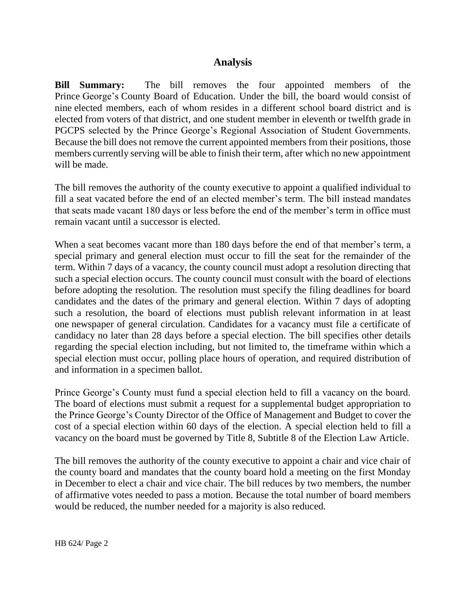## **Analysis**

**Bill Summary:** The bill removes the four appointed members of the Prince George's County Board of Education. Under the bill, the board would consist of nine elected members, each of whom resides in a different school board district and is elected from voters of that district, and one student member in eleventh or twelfth grade in PGCPS selected by the Prince George's Regional Association of Student Governments. Because the bill does not remove the current appointed members from their positions, those members currently serving will be able to finish their term, after which no new appointment will be made.

The bill removes the authority of the county executive to appoint a qualified individual to fill a seat vacated before the end of an elected member's term. The bill instead mandates that seats made vacant 180 days or less before the end of the member's term in office must remain vacant until a successor is elected.

When a seat becomes vacant more than 180 days before the end of that member's term, a special primary and general election must occur to fill the seat for the remainder of the term. Within 7 days of a vacancy, the county council must adopt a resolution directing that such a special election occurs. The county council must consult with the board of elections before adopting the resolution. The resolution must specify the filing deadlines for board candidates and the dates of the primary and general election. Within 7 days of adopting such a resolution, the board of elections must publish relevant information in at least one newspaper of general circulation. Candidates for a vacancy must file a certificate of candidacy no later than 28 days before a special election. The bill specifies other details regarding the special election including, but not limited to, the timeframe within which a special election must occur, polling place hours of operation, and required distribution of and information in a specimen ballot.

Prince George's County must fund a special election held to fill a vacancy on the board. The board of elections must submit a request for a supplemental budget appropriation to the Prince George's County Director of the Office of Management and Budget to cover the cost of a special election within 60 days of the election. A special election held to fill a vacancy on the board must be governed by Title 8, Subtitle 8 of the Election Law Article.

The bill removes the authority of the county executive to appoint a chair and vice chair of the county board and mandates that the county board hold a meeting on the first Monday in December to elect a chair and vice chair. The bill reduces by two members, the number of affirmative votes needed to pass a motion. Because the total number of board members would be reduced, the number needed for a majority is also reduced.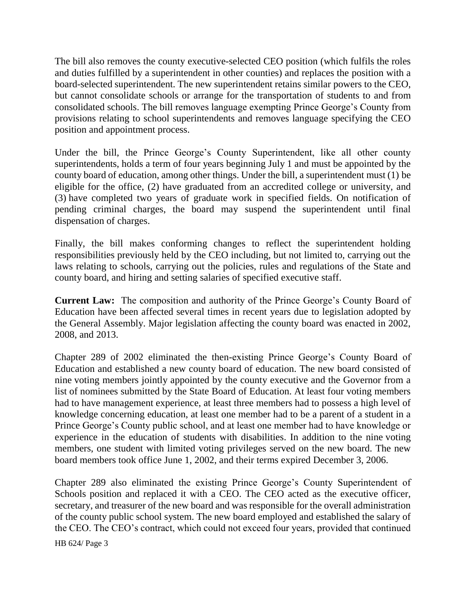The bill also removes the county executive-selected CEO position (which fulfils the roles and duties fulfilled by a superintendent in other counties) and replaces the position with a board-selected superintendent. The new superintendent retains similar powers to the CEO, but cannot consolidate schools or arrange for the transportation of students to and from consolidated schools. The bill removes language exempting Prince George's County from provisions relating to school superintendents and removes language specifying the CEO position and appointment process.

Under the bill, the Prince George's County Superintendent, like all other county superintendents, holds a term of four years beginning July 1 and must be appointed by the county board of education, among other things. Under the bill, a superintendent must (1) be eligible for the office, (2) have graduated from an accredited college or university, and (3) have completed two years of graduate work in specified fields. On notification of pending criminal charges, the board may suspend the superintendent until final dispensation of charges.

Finally, the bill makes conforming changes to reflect the superintendent holding responsibilities previously held by the CEO including, but not limited to, carrying out the laws relating to schools, carrying out the policies, rules and regulations of the State and county board, and hiring and setting salaries of specified executive staff.

**Current Law:** The composition and authority of the Prince George's County Board of Education have been affected several times in recent years due to legislation adopted by the General Assembly. Major legislation affecting the county board was enacted in 2002, 2008, and 2013.

Chapter 289 of 2002 eliminated the then-existing Prince George's County Board of Education and established a new county board of education. The new board consisted of nine voting members jointly appointed by the county executive and the Governor from a list of nominees submitted by the State Board of Education. At least four voting members had to have management experience, at least three members had to possess a high level of knowledge concerning education, at least one member had to be a parent of a student in a Prince George's County public school, and at least one member had to have knowledge or experience in the education of students with disabilities. In addition to the nine voting members, one student with limited voting privileges served on the new board. The new board members took office June 1, 2002, and their terms expired December 3, 2006.

Chapter 289 also eliminated the existing Prince George's County Superintendent of Schools position and replaced it with a CEO. The CEO acted as the executive officer, secretary, and treasurer of the new board and was responsible for the overall administration of the county public school system. The new board employed and established the salary of the CEO. The CEO's contract, which could not exceed four years, provided that continued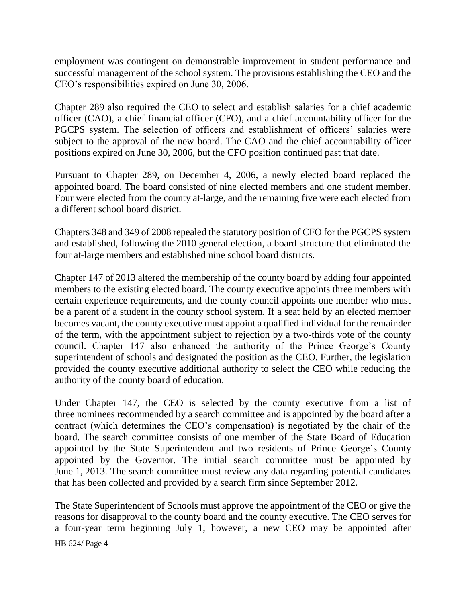employment was contingent on demonstrable improvement in student performance and successful management of the school system. The provisions establishing the CEO and the CEO's responsibilities expired on June 30, 2006.

Chapter 289 also required the CEO to select and establish salaries for a chief academic officer (CAO), a chief financial officer (CFO), and a chief accountability officer for the PGCPS system. The selection of officers and establishment of officers' salaries were subject to the approval of the new board. The CAO and the chief accountability officer positions expired on June 30, 2006, but the CFO position continued past that date.

Pursuant to Chapter 289, on December 4, 2006, a newly elected board replaced the appointed board. The board consisted of nine elected members and one student member. Four were elected from the county at-large, and the remaining five were each elected from a different school board district.

Chapters 348 and 349 of 2008 repealed the statutory position of CFO for the PGCPS system and established, following the 2010 general election, a board structure that eliminated the four at-large members and established nine school board districts.

Chapter 147 of 2013 altered the membership of the county board by adding four appointed members to the existing elected board. The county executive appoints three members with certain experience requirements, and the county council appoints one member who must be a parent of a student in the county school system. If a seat held by an elected member becomes vacant, the county executive must appoint a qualified individual for the remainder of the term, with the appointment subject to rejection by a two-thirds vote of the county council. Chapter 147 also enhanced the authority of the Prince George's County superintendent of schools and designated the position as the CEO. Further, the legislation provided the county executive additional authority to select the CEO while reducing the authority of the county board of education.

Under Chapter 147, the CEO is selected by the county executive from a list of three nominees recommended by a search committee and is appointed by the board after a contract (which determines the CEO's compensation) is negotiated by the chair of the board. The search committee consists of one member of the State Board of Education appointed by the State Superintendent and two residents of Prince George's County appointed by the Governor. The initial search committee must be appointed by June 1, 2013. The search committee must review any data regarding potential candidates that has been collected and provided by a search firm since September 2012.

HB 624/ Page 4 The State Superintendent of Schools must approve the appointment of the CEO or give the reasons for disapproval to the county board and the county executive. The CEO serves for a four-year term beginning July 1; however, a new CEO may be appointed after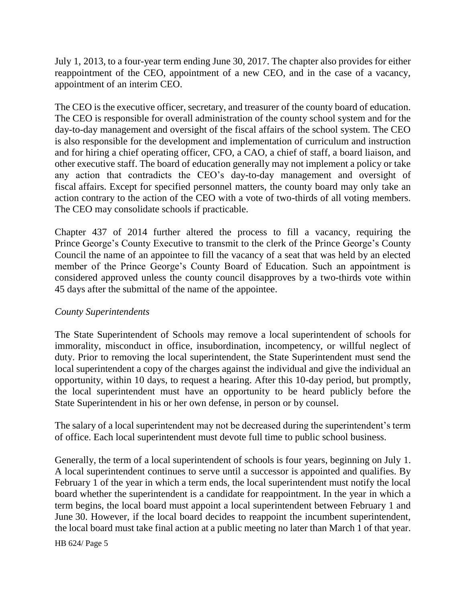July 1, 2013, to a four-year term ending June 30, 2017. The chapter also provides for either reappointment of the CEO, appointment of a new CEO, and in the case of a vacancy, appointment of an interim CEO.

The CEO is the executive officer, secretary, and treasurer of the county board of education. The CEO is responsible for overall administration of the county school system and for the day-to-day management and oversight of the fiscal affairs of the school system. The CEO is also responsible for the development and implementation of curriculum and instruction and for hiring a chief operating officer, CFO, a CAO, a chief of staff, a board liaison, and other executive staff. The board of education generally may not implement a policy or take any action that contradicts the CEO's day-to-day management and oversight of fiscal affairs. Except for specified personnel matters, the county board may only take an action contrary to the action of the CEO with a vote of two-thirds of all voting members. The CEO may consolidate schools if practicable.

Chapter 437 of 2014 further altered the process to fill a vacancy, requiring the Prince George's County Executive to transmit to the clerk of the Prince George's County Council the name of an appointee to fill the vacancy of a seat that was held by an elected member of the Prince George's County Board of Education. Such an appointment is considered approved unless the county council disapproves by a two-thirds vote within 45 days after the submittal of the name of the appointee.

### *County Superintendents*

The State Superintendent of Schools may remove a local superintendent of schools for immorality, misconduct in office, insubordination, incompetency, or willful neglect of duty. Prior to removing the local superintendent, the State Superintendent must send the local superintendent a copy of the charges against the individual and give the individual an opportunity, within 10 days, to request a hearing. After this 10-day period, but promptly, the local superintendent must have an opportunity to be heard publicly before the State Superintendent in his or her own defense, in person or by counsel.

The salary of a local superintendent may not be decreased during the superintendent's term of office. Each local superintendent must devote full time to public school business.

Generally, the term of a local superintendent of schools is four years, beginning on July 1. A local superintendent continues to serve until a successor is appointed and qualifies. By February 1 of the year in which a term ends, the local superintendent must notify the local board whether the superintendent is a candidate for reappointment. In the year in which a term begins, the local board must appoint a local superintendent between February 1 and June 30. However, if the local board decides to reappoint the incumbent superintendent, the local board must take final action at a public meeting no later than March 1 of that year.

HB 624/ Page 5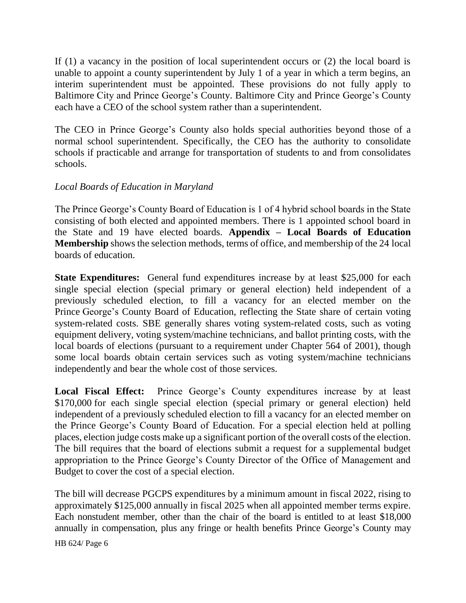If (1) a vacancy in the position of local superintendent occurs or (2) the local board is unable to appoint a county superintendent by July 1 of a year in which a term begins, an interim superintendent must be appointed. These provisions do not fully apply to Baltimore City and Prince George's County. Baltimore City and Prince George's County each have a CEO of the school system rather than a superintendent.

The CEO in Prince George's County also holds special authorities beyond those of a normal school superintendent. Specifically, the CEO has the authority to consolidate schools if practicable and arrange for transportation of students to and from consolidates schools.

## *Local Boards of Education in Maryland*

The Prince George's County Board of Education is 1 of 4 hybrid school boards in the State consisting of both elected and appointed members. There is 1 appointed school board in the State and 19 have elected boards. **Appendix – Local Boards of Education Membership** shows the selection methods, terms of office, and membership of the 24 local boards of education.

**State Expenditures:** General fund expenditures increase by at least \$25,000 for each single special election (special primary or general election) held independent of a previously scheduled election, to fill a vacancy for an elected member on the Prince George's County Board of Education, reflecting the State share of certain voting system-related costs. SBE generally shares voting system-related costs, such as voting equipment delivery, voting system/machine technicians, and ballot printing costs, with the local boards of elections (pursuant to a requirement under Chapter 564 of 2001), though some local boards obtain certain services such as voting system/machine technicians independently and bear the whole cost of those services.

**Local Fiscal Effect:** Prince George's County expenditures increase by at least \$170,000 for each single special election (special primary or general election) held independent of a previously scheduled election to fill a vacancy for an elected member on the Prince George's County Board of Education. For a special election held at polling places, election judge costs make up a significant portion of the overall costs of the election. The bill requires that the board of elections submit a request for a supplemental budget appropriation to the Prince George's County Director of the Office of Management and Budget to cover the cost of a special election.

The bill will decrease PGCPS expenditures by a minimum amount in fiscal 2022, rising to approximately \$125,000 annually in fiscal 2025 when all appointed member terms expire. Each nonstudent member, other than the chair of the board is entitled to at least \$18,000 annually in compensation, plus any fringe or health benefits Prince George's County may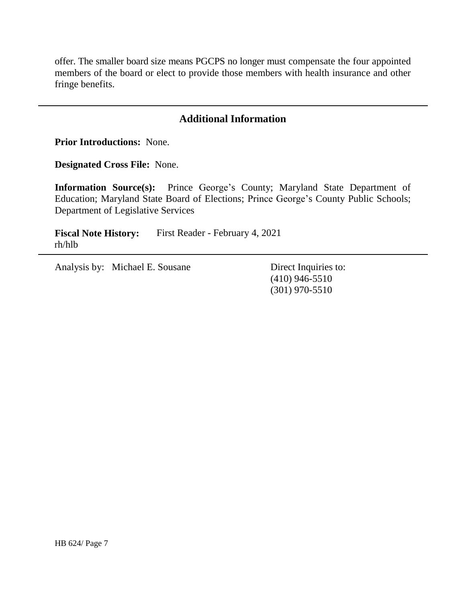offer. The smaller board size means PGCPS no longer must compensate the four appointed members of the board or elect to provide those members with health insurance and other fringe benefits.

# **Additional Information**

**Prior Introductions:** None.

**Designated Cross File:** None.

**Information Source(s):** Prince George's County; Maryland State Department of Education; Maryland State Board of Elections; Prince George's County Public Schools; Department of Legislative Services

**Fiscal Note History:** First Reader - February 4, 2021 rh/hlb

Analysis by: Michael E. Sousane Direct Inquiries to:

(410) 946-5510 (301) 970-5510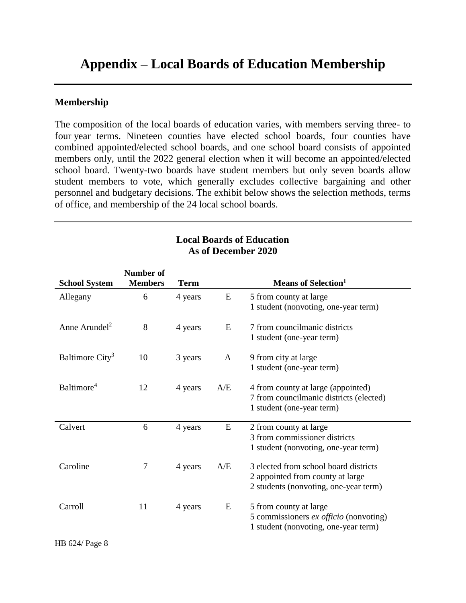# **Appendix – Local Boards of Education Membership**

#### **Membership**

The composition of the local boards of education varies, with members serving three- to four year terms. Nineteen counties have elected school boards, four counties have combined appointed/elected school boards, and one school board consists of appointed members only, until the 2022 general election when it will become an appointed/elected school board. Twenty-two boards have student members but only seven boards allow student members to vote, which generally excludes collective bargaining and other personnel and budgetary decisions. The exhibit below shows the selection methods, terms of office, and membership of the 24 local school boards.

| <b>School System</b>        | <b>Number of</b><br><b>Members</b> | Term    |     | <b>Means of Selection</b> <sup>1</sup>                                                                             |
|-----------------------------|------------------------------------|---------|-----|--------------------------------------------------------------------------------------------------------------------|
| Allegany                    | 6                                  | 4 years | E   | 5 from county at large<br>1 student (nonvoting, one-year term)                                                     |
| Anne Arundel <sup>2</sup>   | 8                                  | 4 years | E   | 7 from councilmanic districts<br>1 student (one-year term)                                                         |
| Baltimore City <sup>3</sup> | 10                                 | 3 years | A   | 9 from city at large<br>1 student (one-year term)                                                                  |
| Baltimore <sup>4</sup>      | 12                                 | 4 years | A/E | 4 from county at large (appointed)<br>7 from councilmanic districts (elected)<br>1 student (one-year term)         |
| Calvert                     | 6                                  | 4 years | E   | 2 from county at large<br>3 from commissioner districts<br>1 student (nonvoting, one-year term)                    |
| Caroline                    | 7                                  | 4 years | A/E | 3 elected from school board districts<br>2 appointed from county at large<br>2 students (nonvoting, one-year term) |
| Carroll                     | 11                                 | 4 years | E   | 5 from county at large<br>5 commissioners ex officio (nonvoting)<br>1 student (nonvoting, one-year term)           |

#### **Local Boards of Education As of December 2020**

HB 624/ Page 8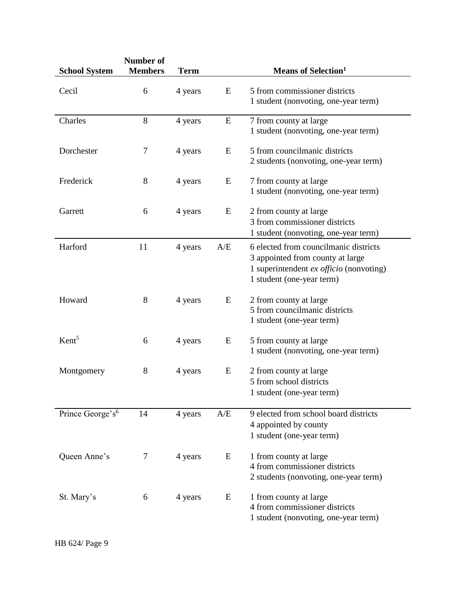| <b>School System</b>         | <b>Number of</b><br><b>Members</b> | Term    |     | <b>Means of Selection</b> <sup>1</sup>                                                                                                            |
|------------------------------|------------------------------------|---------|-----|---------------------------------------------------------------------------------------------------------------------------------------------------|
| Cecil                        | 6                                  | 4 years | E   | 5 from commissioner districts<br>1 student (nonvoting, one-year term)                                                                             |
| Charles                      | 8                                  | 4 years | E   | 7 from county at large<br>1 student (nonvoting, one-year term)                                                                                    |
| Dorchester                   | $\tau$                             | 4 years | E   | 5 from councilmanic districts<br>2 students (nonvoting, one-year term)                                                                            |
| Frederick                    | 8                                  | 4 years | E   | 7 from county at large<br>1 student (nonvoting, one-year term)                                                                                    |
| Garrett                      | 6                                  | 4 years | E   | 2 from county at large<br>3 from commissioner districts<br>1 student (nonvoting, one-year term)                                                   |
| Harford                      | 11                                 | 4 years | A/E | 6 elected from councilmanic districts<br>3 appointed from county at large<br>1 superintendent ex officio (nonvoting)<br>1 student (one-year term) |
| Howard                       | 8                                  | 4 years | E   | 2 from county at large<br>5 from councilmanic districts<br>1 student (one-year term)                                                              |
| Kent <sup>5</sup>            | 6                                  | 4 years | E   | 5 from county at large<br>1 student (nonvoting, one-year term)                                                                                    |
| Montgomery                   | 8                                  | 4 years | E   | 2 from county at large<br>5 from school districts<br>1 student (one-year term)                                                                    |
| Prince George's <sup>6</sup> | 14                                 | 4 years | A/E | 9 elected from school board districts<br>4 appointed by county<br>1 student (one-year term)                                                       |
| Queen Anne's                 | 7                                  | 4 years | E   | 1 from county at large<br>4 from commissioner districts<br>2 students (nonvoting, one-year term)                                                  |
| St. Mary's                   | 6                                  | 4 years | E   | 1 from county at large<br>4 from commissioner districts<br>1 student (nonvoting, one-year term)                                                   |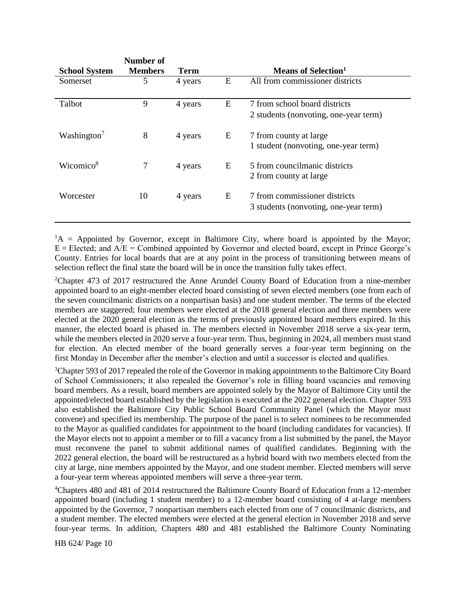| <b>School System</b>    | Number of<br><b>Members</b> | Term    |   | Means of Selection <sup>1</sup>                                        |
|-------------------------|-----------------------------|---------|---|------------------------------------------------------------------------|
| Somerset                | 5                           | 4 years | E | All from commissioner districts                                        |
| Talbot                  | 9                           | 4 years | E | 7 from school board districts<br>2 students (nonvoting, one-year term) |
| Washington <sup>7</sup> | 8                           | 4 years | E | 7 from county at large<br>1 student (nonvoting, one-year term)         |
| Wicomico <sup>8</sup>   |                             | 4 years | E | 5 from councilmanic districts<br>2 from county at large                |
| Worcester               | 10                          | 4 years | E | 7 from commissioner districts<br>3 students (nonvoting, one-year term) |

 ${}^{1}A$  = Appointed by Governor, except in Baltimore City, where board is appointed by the Mayor;  $E = E$ lected; and  $A/E =$  Combined appointed by Governor and elected board, except in Prince George's County. Entries for local boards that are at any point in the process of transitioning between means of selection reflect the final state the board will be in once the transition fully takes effect.

<sup>2</sup>Chapter 473 of 2017 restructured the Anne Arundel County Board of Education from a nine-member appointed board to an eight-member elected board consisting of seven elected members (one from each of the seven councilmanic districts on a nonpartisan basis) and one student member. The terms of the elected members are staggered; four members were elected at the 2018 general election and three members were elected at the 2020 general election as the terms of previously appointed board members expired. In this manner, the elected board is phased in. The members elected in November 2018 serve a six-year term, while the members elected in 2020 serve a four-year term. Thus, beginning in 2024, all members must stand for election. An elected member of the board generally serves a four-year term beginning on the first Monday in December after the member's election and until a successor is elected and qualifies.

<sup>3</sup>Chapter 593 of 2017 repealed the role of the Governor in making appointments to the Baltimore City Board of School Commissioners; it also repealed the Governor's role in filling board vacancies and removing board members. As a result, board members are appointed solely by the Mayor of Baltimore City until the appointed/elected board established by the legislation is executed at the 2022 general election. Chapter 593 also established the Baltimore City Public School Board Community Panel (which the Mayor must convene) and specified its membership. The purpose of the panel is to select nominees to be recommended to the Mayor as qualified candidates for appointment to the board (including candidates for vacancies). If the Mayor elects not to appoint a member or to fill a vacancy from a list submitted by the panel, the Mayor must reconvene the panel to submit additional names of qualified candidates. Beginning with the 2022 general election, the board will be restructured as a hybrid board with two members elected from the city at large, nine members appointed by the Mayor, and one student member. Elected members will serve a four-year term whereas appointed members will serve a three-year term.

<sup>4</sup>Chapters 480 and 481 of 2014 restructured the Baltimore County Board of Education from a 12-member appointed board (including 1 student member) to a 12-member board consisting of 4 at-large members appointed by the Governor, 7 nonpartisan members each elected from one of 7 councilmanic districts, and a student member. The elected members were elected at the general election in November 2018 and serve four-year terms. In addition, Chapters 480 and 481 established the Baltimore County Nominating

HB 624/ Page 10